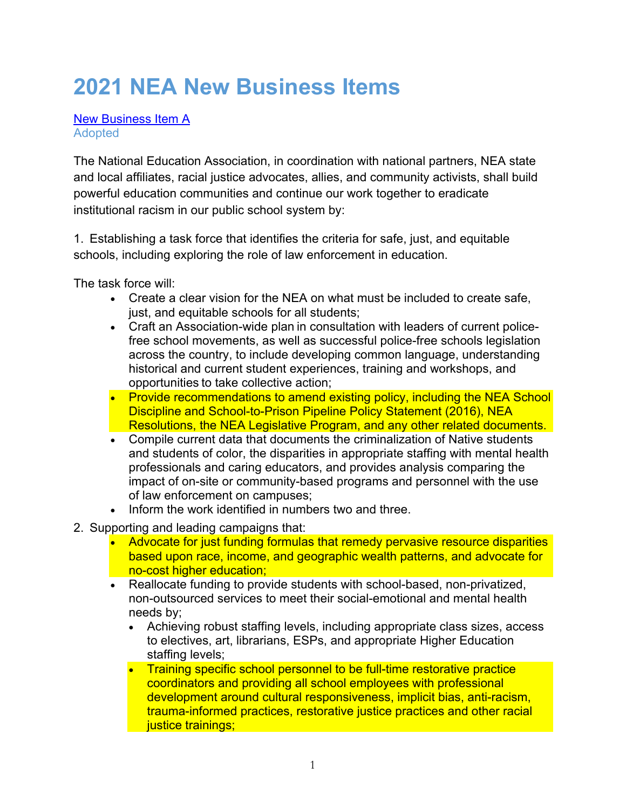# **2021 NEA New Business Items**

New Business Item A Adopted

The National Education Association, in coordination with national partners, NEA state and local affiliates, racial justice advocates, allies, and community activists, shall build powerful education communities and continue our work together to eradicate institutional racism in our public school system by:

1.  Establishing a task force that identifies the criteria for safe, just, and equitable schools, including exploring the role of law enforcement in education.

The task force will:

- Create a clear vision for the NEA on what must be included to create safe, just, and equitable schools for all students;
- Craft an Association-wide plan in consultation with leaders of current policefree school movements, as well as successful police-free schools legislation across the country, to include developing common language, understanding historical and current student experiences, training and workshops, and opportunities to take collective action;
- Provide recommendations to amend existing policy, including the NEA School Discipline and School-to-Prison Pipeline Policy Statement (2016), NEA Resolutions, the NEA Legislative Program, and any other related documents.
- Compile current data that documents the criminalization of Native students and students of color, the disparities in appropriate staffing with mental health professionals and caring educators, and provides analysis comparing the impact of on-site or community-based programs and personnel with the use of law enforcement on campuses;
- Inform the work identified in numbers two and three.
- 2.  Supporting and leading campaigns that:
	- Advocate for just funding formulas that remedy pervasive resource disparities based upon race, income, and geographic wealth patterns, and advocate for no-cost higher education;
	- Reallocate funding to provide students with school-based, non-privatized, non-outsourced services to meet their social-emotional and mental health needs by;
		- Achieving robust staffing levels, including appropriate class sizes, access to electives, art, librarians, ESPs, and appropriate Higher Education staffing levels;
		- Training specific school personnel to be full-time restorative practice coordinators and providing all school employees with professional development around cultural responsiveness, implicit bias, anti-racism, trauma-informed practices, restorative justice practices and other racial justice trainings;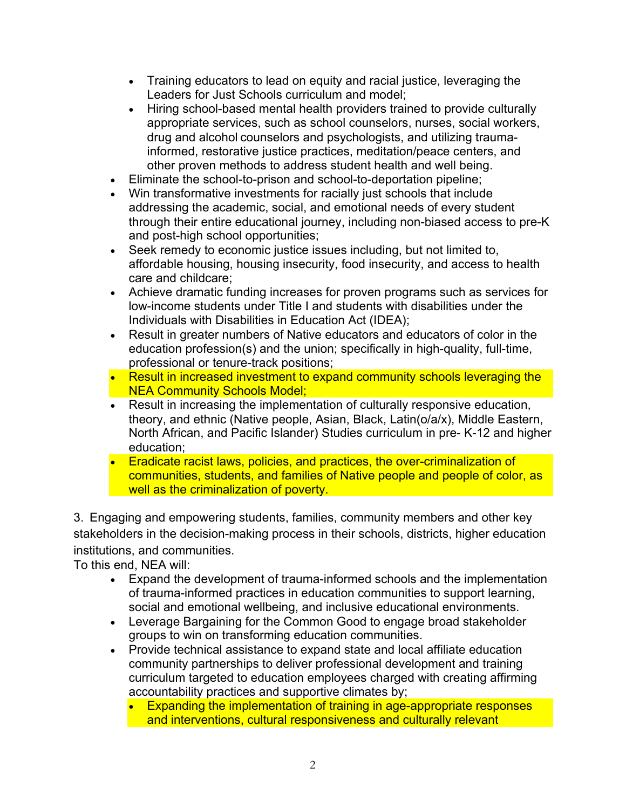- Training educators to lead on equity and racial justice, leveraging the Leaders for Just Schools curriculum and model;
- Hiring school-based mental health providers trained to provide culturally appropriate services, such as school counselors, nurses, social workers, drug and alcohol counselors and psychologists, and utilizing traumainformed, restorative justice practices, meditation/peace centers, and other proven methods to address student health and well being.
- Eliminate the school-to-prison and school-to-deportation pipeline;
- Win transformative investments for racially just schools that include addressing the academic, social, and emotional needs of every student through their entire educational journey, including non-biased access to pre-K and post-high school opportunities;
- Seek remedy to economic justice issues including, but not limited to, affordable housing, housing insecurity, food insecurity, and access to health care and childcare;
- Achieve dramatic funding increases for proven programs such as services for low-income students under Title I and students with disabilities under the Individuals with Disabilities in Education Act (IDEA);
- Result in greater numbers of Native educators and educators of color in the education profession(s) and the union; specifically in high-quality, full-time, professional or tenure-track positions;
- Result in increased investment to expand community schools leveraging the **NEA Community Schools Model;**
- Result in increasing the implementation of culturally responsive education, theory, and ethnic (Native people, Asian, Black, Latin(o/a/x), Middle Eastern, North African, and Pacific Islander) Studies curriculum in pre- K-12 and higher education;
- Eradicate racist laws, policies, and practices, the over-criminalization of communities, students, and families of Native people and people of color, as well as the criminalization of poverty.

3.  Engaging and empowering students, families, community members and other key stakeholders in the decision-making process in their schools, districts, higher education institutions, and communities.

To this end, NEA will:

- Expand the development of trauma-informed schools and the implementation of trauma-informed practices in education communities to support learning, social and emotional wellbeing, and inclusive educational environments.
- Leverage Bargaining for the Common Good to engage broad stakeholder groups to win on transforming education communities.
- Provide technical assistance to expand state and local affiliate education community partnerships to deliver professional development and training curriculum targeted to education employees charged with creating affirming accountability practices and supportive climates by;
	- Expanding the implementation of training in age-appropriate responses and interventions, cultural responsiveness and culturally relevant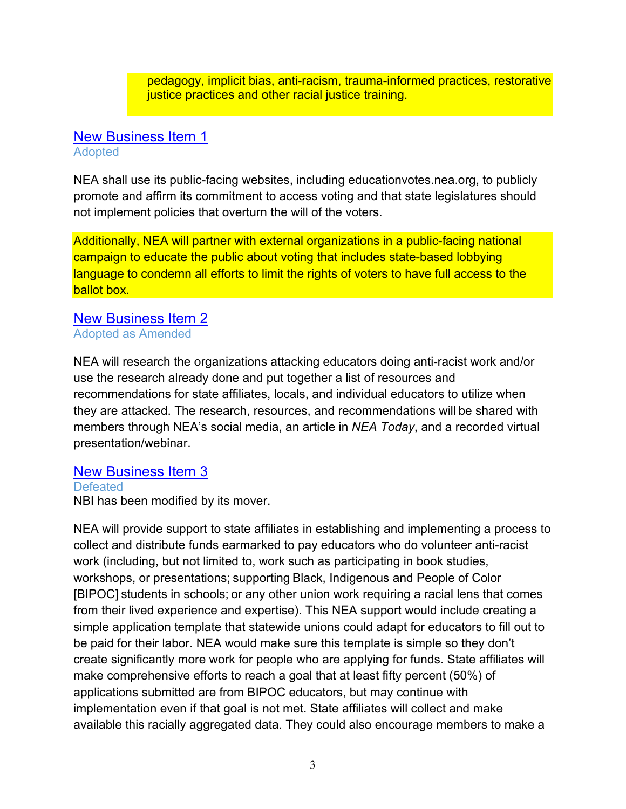pedagogy, implicit bias, anti-racism, trauma-informed practices, restorative justice practices and other racial justice training.

#### New Business Item 1 Adopted

NEA shall use its public-facing websites, including educationvotes.nea.org, to publicly promote and affirm its commitment to access voting and that state legislatures should not implement policies that overturn the will of the voters.

Additionally, NEA will partner with external organizations in a public-facing national campaign to educate the public about voting that includes state-based lobbying language to condemn all efforts to limit the rights of voters to have full access to the ballot box.

#### New Business Item 2 Adopted as Amended

NEA will research the organizations attacking educators doing anti-racist work and/or use the research already done and put together a list of resources and recommendations for state affiliates, locals, and individual educators to utilize when they are attacked. The research, resources, and recommendations will be shared with members through NEA's social media, an article in *NEA Today*, and a recorded virtual presentation/webinar.

# New Business Item 3

**Defeated** NBI has been modified by its mover.

NEA will provide support to state affiliates in establishing and implementing a process to collect and distribute funds earmarked to pay educators who do volunteer anti-racist work (including, but not limited to, work such as participating in book studies, workshops, or presentations; supporting Black, Indigenous and People of Color [BIPOC] students in schools; or any other union work requiring a racial lens that comes from their lived experience and expertise). This NEA support would include creating a simple application template that statewide unions could adapt for educators to fill out to be paid for their labor. NEA would make sure this template is simple so they don't create significantly more work for people who are applying for funds. State affiliates will make comprehensive efforts to reach a goal that at least fifty percent (50%) of applications submitted are from BIPOC educators, but may continue with implementation even if that goal is not met. State affiliates will collect and make available this racially aggregated data. They could also encourage members to make a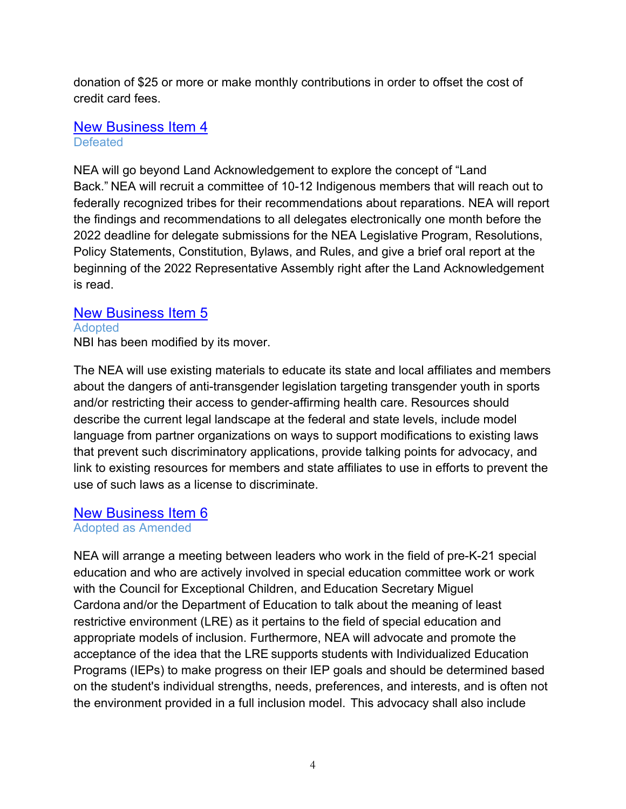donation of \$25 or more or make monthly contributions in order to offset the cost of credit card fees.

#### New Business Item 4 **Defeated**

NEA will go beyond Land Acknowledgement to explore the concept of "Land Back." NEA will recruit a committee of 10-12 Indigenous members that will reach out to federally recognized tribes for their recommendations about reparations. NEA will report the findings and recommendations to all delegates electronically one month before the 2022 deadline for delegate submissions for the NEA Legislative Program, Resolutions, Policy Statements, Constitution, Bylaws, and Rules, and give a brief oral report at the beginning of the 2022 Representative Assembly right after the Land Acknowledgement is read.

# New Business Item 5

#### Adopted

NBI has been modified by its mover.

The NEA will use existing materials to educate its state and local affiliates and members about the dangers of anti-transgender legislation targeting transgender youth in sports and/or restricting their access to gender-affirming health care. Resources should describe the current legal landscape at the federal and state levels, include model language from partner organizations on ways to support modifications to existing laws that prevent such discriminatory applications, provide talking points for advocacy, and link to existing resources for members and state affiliates to use in efforts to prevent the use of such laws as a license to discriminate.

# New Business Item 6

# Adopted as Amended

NEA will arrange a meeting between leaders who work in the field of pre-K-21 special education and who are actively involved in special education committee work or work with the Council for Exceptional Children, and Education Secretary Miguel Cardona and/or the Department of Education to talk about the meaning of least restrictive environment (LRE) as it pertains to the field of special education and appropriate models of inclusion. Furthermore, NEA will advocate and promote the acceptance of the idea that the LRE supports students with Individualized Education Programs (IEPs) to make progress on their IEP goals and should be determined based on the student's individual strengths, needs, preferences, and interests, and is often not the environment provided in a full inclusion model.  This advocacy shall also include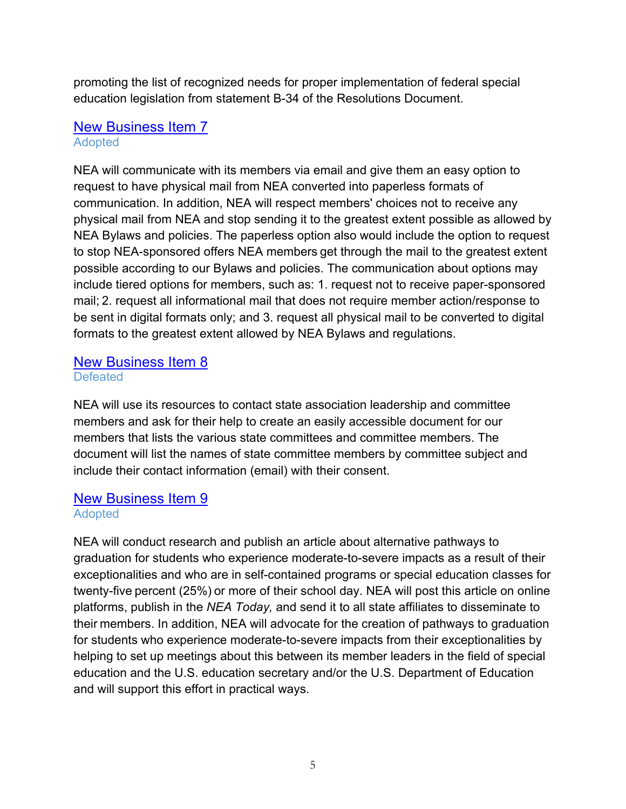promoting the list of recognized needs for proper implementation of federal special education legislation from statement B-34 of the Resolutions Document.

#### New Business Item 7 Adopted

NEA will communicate with its members via email and give them an easy option to request to have physical mail from NEA converted into paperless formats of communication. In addition, NEA will respect members' choices not to receive any physical mail from NEA and stop sending it to the greatest extent possible as allowed by NEA Bylaws and policies. The paperless option also would include the option to request to stop NEA-sponsored offers NEA members get through the mail to the greatest extent possible according to our Bylaws and policies. The communication about options may include tiered options for members, such as: 1. request not to receive paper-sponsored mail; 2. request all informational mail that does not require member action/response to be sent in digital formats only; and 3. request all physical mail to be converted to digital formats to the greatest extent allowed by NEA Bylaws and regulations.

#### New Business Item 8 **Defeated**

NEA will use its resources to contact state association leadership and committee members and ask for their help to create an easily accessible document for our members that lists the various state committees and committee members. The document will list the names of state committee members by committee subject and include their contact information (email) with their consent.

#### New Business Item 9 Adopted

NEA will conduct research and publish an article about alternative pathways to graduation for students who experience moderate-to-severe impacts as a result of their exceptionalities and who are in self-contained programs or special education classes for twenty-five percent (25%) or more of their school day. NEA will post this article on online platforms, publish in the *NEA Today,* and send it to all state affiliates to disseminate to their members. In addition, NEA will advocate for the creation of pathways to graduation for students who experience moderate-to-severe impacts from their exceptionalities by helping to set up meetings about this between its member leaders in the field of special education and the U.S. education secretary and/or the U.S. Department of Education and will support this effort in practical ways.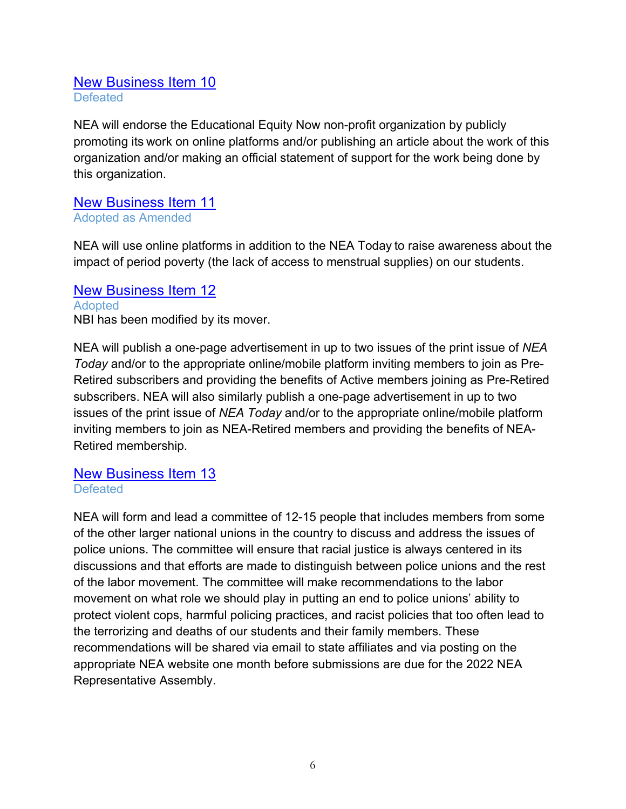#### New Business Item 10 **Defeated**

NEA will endorse the Educational Equity Now non-profit organization by publicly promoting its work on online platforms and/or publishing an article about the work of this organization and/or making an official statement of support for the work being done by this organization.

#### New Business Item 11 Adopted as Amended

NEA will use online platforms in addition to the NEA Today to raise awareness about the impact of period poverty (the lack of access to menstrual supplies) on our students.

#### New Business Item 12 **Adopted** NBI has been modified by its mover.

NEA will publish a one-page advertisement in up to two issues of the print issue of *NEA Today* and/or to the appropriate online/mobile platform inviting members to join as Pre-Retired subscribers and providing the benefits of Active members joining as Pre-Retired subscribers. NEA will also similarly publish a one-page advertisement in up to two issues of the print issue of *NEA Today* and/or to the appropriate online/mobile platform inviting members to join as NEA-Retired members and providing the benefits of NEA-Retired membership.

#### New Business Item 13 **Defeated**

NEA will form and lead a committee of 12-15 people that includes members from some of the other larger national unions in the country to discuss and address the issues of police unions. The committee will ensure that racial justice is always centered in its discussions and that efforts are made to distinguish between police unions and the rest of the labor movement. The committee will make recommendations to the labor movement on what role we should play in putting an end to police unions' ability to protect violent cops, harmful policing practices, and racist policies that too often lead to the terrorizing and deaths of our students and their family members. These recommendations will be shared via email to state affiliates and via posting on the appropriate NEA website one month before submissions are due for the 2022 NEA Representative Assembly.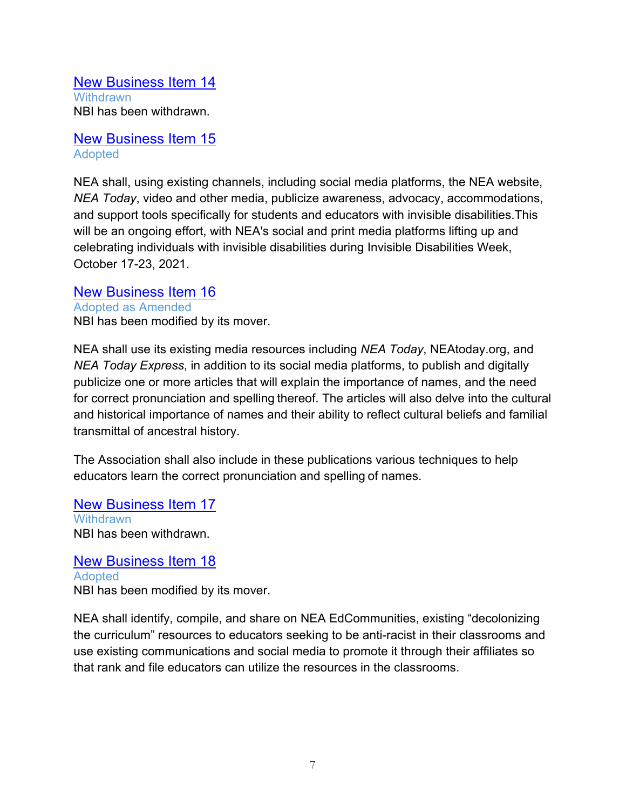New Business Item 14 **Withdrawn** NBI has been withdrawn.

New Business Item 15 Adopted

NEA shall, using existing channels, including social media platforms, the NEA website, *NEA Today*, video and other media, publicize awareness, advocacy, accommodations, and support tools specifically for students and educators with invisible disabilities.This will be an ongoing effort, with NEA's social and print media platforms lifting up and celebrating individuals with invisible disabilities during Invisible Disabilities Week, October 17-23, 2021.

New Business Item 16 Adopted as Amended NBI has been modified by its mover.

NEA shall use its existing media resources including *NEA Today*, NEAtoday.org, and *NEA Today Express*, in addition to its social media platforms, to publish and digitally publicize one or more articles that will explain the importance of names, and the need for correct pronunciation and spelling thereof. The articles will also delve into the cultural and historical importance of names and their ability to reflect cultural beliefs and familial transmittal of ancestral history.

The Association shall also include in these publications various techniques to help educators learn the correct pronunciation and spelling of names.

New Business Item 17 **Withdrawn** NBI has been withdrawn.

New Business Item 18 **Adopted** NBI has been modified by its mover.

NEA shall identify, compile, and share on NEA EdCommunities, existing "decolonizing the curriculum" resources to educators seeking to be anti-racist in their classrooms and use existing communications and social media to promote it through their affiliates so that rank and file educators can utilize the resources in the classrooms.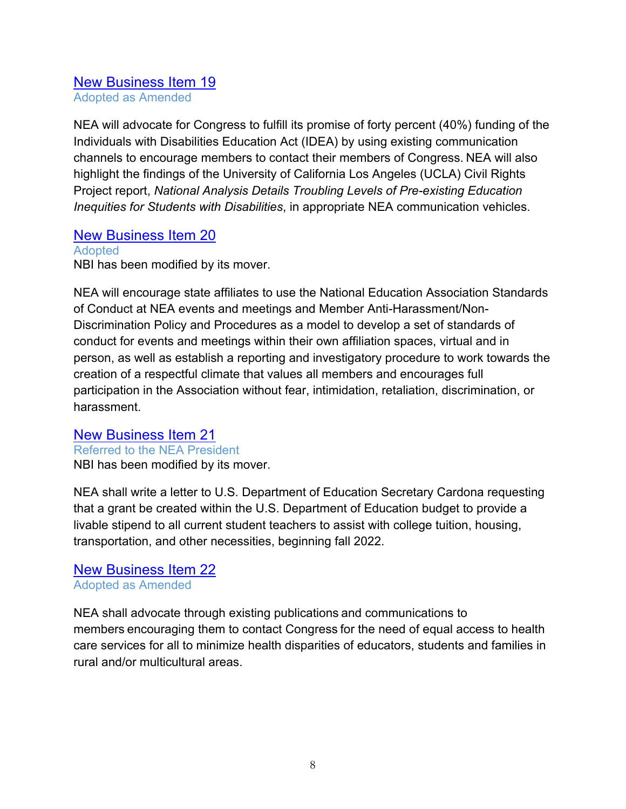#### New Business Item 19 Adopted as Amended

NEA will advocate for Congress to fulfill its promise of forty percent (40%) funding of the Individuals with Disabilities Education Act (IDEA) by using existing communication channels to encourage members to contact their members of Congress. NEA will also highlight the findings of the University of California Los Angeles (UCLA) Civil Rights Project report, *National Analysis Details Troubling Levels of Pre-existing Education Inequities for Students with Disabilities*, in appropriate NEA communication vehicles.

# New Business Item 20

**Adopted** NBI has been modified by its mover.

NEA will encourage state affiliates to use the National Education Association Standards of Conduct at NEA events and meetings and Member Anti-Harassment/Non-Discrimination Policy and Procedures as a model to develop a set of standards of conduct for events and meetings within their own affiliation spaces, virtual and in person, as well as establish a reporting and investigatory procedure to work towards the creation of a respectful climate that values all members and encourages full participation in the Association without fear, intimidation, retaliation, discrimination, or harassment.

# New Business Item 21

Referred to the NEA President NBI has been modified by its mover.

NEA shall write a letter to U.S. Department of Education Secretary Cardona requesting that a grant be created within the U.S. Department of Education budget to provide a livable stipend to all current student teachers to assist with college tuition, housing, transportation, and other necessities, beginning fall 2022.

#### New Business Item 22 Adopted as Amended

NEA shall advocate through existing publications and communications to members encouraging them to contact Congress for the need of equal access to health care services for all to minimize health disparities of educators, students and families in rural and/or multicultural areas.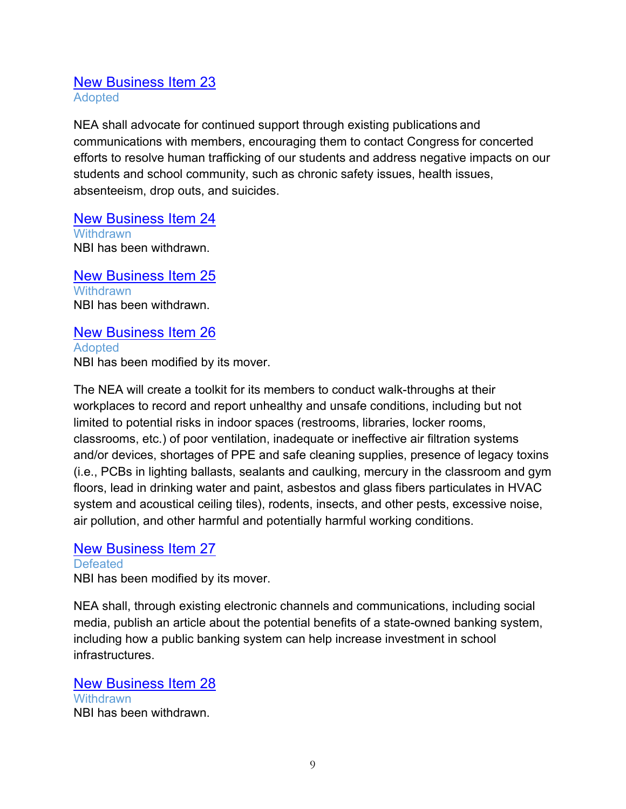#### New Business Item 23 Adopted

NEA shall advocate for continued support through existing publications and communications with members, encouraging them to contact Congress for concerted efforts to resolve human trafficking of our students and address negative impacts on our students and school community, such as chronic safety issues, health issues, absenteeism, drop outs, and suicides.

New Business Item 24 **Withdrawn** NBI has been withdrawn.

New Business Item 25 **Withdrawn** NBI has been withdrawn.

New Business Item 26 Adopted NBI has been modified by its mover.

The NEA will create a toolkit for its members to conduct walk-throughs at their workplaces to record and report unhealthy and unsafe conditions, including but not limited to potential risks in indoor spaces (restrooms, libraries, locker rooms, classrooms, etc.) of poor ventilation, inadequate or ineffective air filtration systems and/or devices, shortages of PPE and safe cleaning supplies, presence of legacy toxins (i.e., PCBs in lighting ballasts, sealants and caulking, mercury in the classroom and gym floors, lead in drinking water and paint, asbestos and glass fibers particulates in HVAC system and acoustical ceiling tiles), rodents, insects, and other pests, excessive noise, air pollution, and other harmful and potentially harmful working conditions.

# New Business Item 27

**Defeated** NBI has been modified by its mover.

NEA shall, through existing electronic channels and communications, including social media, publish an article about the potential benefits of a state-owned banking system, including how a public banking system can help increase investment in school infrastructures.

New Business Item 28 **Withdrawn** NBI has been withdrawn.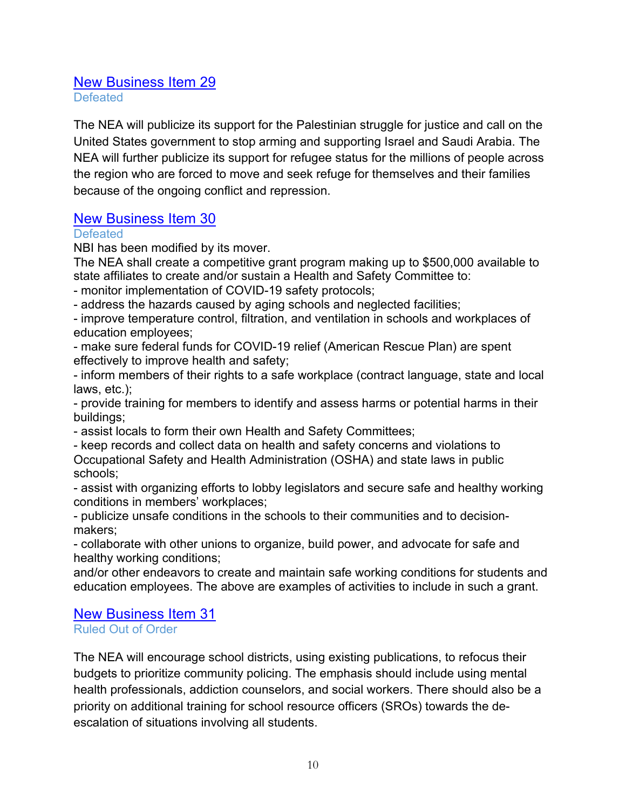#### New Business Item 29 **Defeated**

The NEA will publicize its support for the Palestinian struggle for justice and call on the United States government to stop arming and supporting Israel and Saudi Arabia. The NEA will further publicize its support for refugee status for the millions of people across the region who are forced to move and seek refuge for themselves and their families because of the ongoing conflict and repression.

# New Business Item 30

#### **Defeated**

NBI has been modified by its mover.

The NEA shall create a competitive grant program making up to \$500,000 available to state affiliates to create and/or sustain a Health and Safety Committee to:

- monitor implementation of COVID-19 safety protocols;

- address the hazards caused by aging schools and neglected facilities;

- improve temperature control, filtration, and ventilation in schools and workplaces of education employees;

- make sure federal funds for COVID-19 relief (American Rescue Plan) are spent effectively to improve health and safety;

- inform members of their rights to a safe workplace (contract language, state and local laws, etc.);

- provide training for members to identify and assess harms or potential harms in their buildings;

- assist locals to form their own Health and Safety Committees;

- keep records and collect data on health and safety concerns and violations to Occupational Safety and Health Administration (OSHA) and state laws in public schools;

- assist with organizing efforts to lobby legislators and secure safe and healthy working conditions in members' workplaces;

- publicize unsafe conditions in the schools to their communities and to decisionmakers;

- collaborate with other unions to organize, build power, and advocate for safe and healthy working conditions;

and/or other endeavors to create and maintain safe working conditions for students and education employees. The above are examples of activities to include in such a grant.

# New Business Item 31

Ruled Out of Order

The NEA will encourage school districts, using existing publications, to refocus their budgets to prioritize community policing. The emphasis should include using mental health professionals, addiction counselors, and social workers. There should also be a priority on additional training for school resource officers (SROs) towards the deescalation of situations involving all students.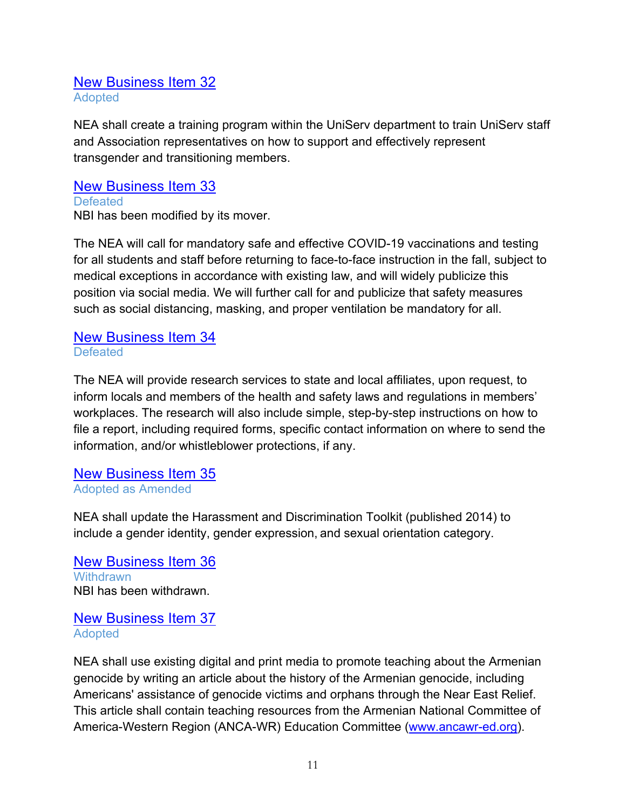#### New Business Item 32 Adopted

NEA shall create a training program within the UniServ department to train UniServ staff and Association representatives on how to support and effectively represent transgender and transitioning members.

New Business Item 33 **Defeated** NBI has been modified by its mover.

The NEA will call for mandatory safe and effective COVID-19 vaccinations and testing for all students and staff before returning to face-to-face instruction in the fall, subject to medical exceptions in accordance with existing law, and will widely publicize this position via social media. We will further call for and publicize that safety measures such as social distancing, masking, and proper ventilation be mandatory for all.

#### New Business Item 34 **Defeated**

The NEA will provide research services to state and local affiliates, upon request, to inform locals and members of the health and safety laws and regulations in members' workplaces. The research will also include simple, step-by-step instructions on how to file a report, including required forms, specific contact information on where to send the information, and/or whistleblower protections, if any.

#### New Business Item 35 Adopted as Amended

NEA shall update the Harassment and Discrimination Toolkit (published 2014) to include a gender identity, gender expression, and sexual orientation category.

New Business Item 36 **Withdrawn** NBI has been withdrawn.

# New Business Item 37 Adopted

NEA shall use existing digital and print media to promote teaching about the Armenian genocide by writing an article about the history of the Armenian genocide, including Americans' assistance of genocide victims and orphans through the Near East Relief. This article shall contain teaching resources from the Armenian National Committee of America-Western Region (ANCA-WR) Education Committee (www.ancawr-ed.org).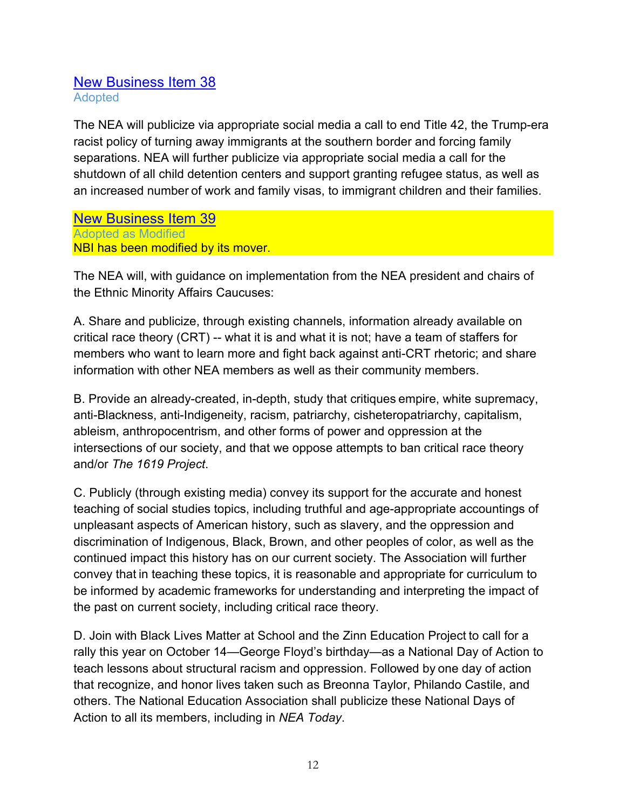#### New Business Item 38 Adopted

The NEA will publicize via appropriate social media a call to end Title 42, the Trump-era racist policy of turning away immigrants at the southern border and forcing family separations. NEA will further publicize via appropriate social media a call for the shutdown of all child detention centers and support granting refugee status, as well as an increased number of work and family visas, to immigrant children and their families.

New Business Item 39 Adopted as Modified NBI has been modified by its mover.

The NEA will, with guidance on implementation from the NEA president and chairs of the Ethnic Minority Affairs Caucuses:

A. Share and publicize, through existing channels, information already available on critical race theory (CRT) -- what it is and what it is not; have a team of staffers for members who want to learn more and fight back against anti-CRT rhetoric; and share information with other NEA members as well as their community members.

B. Provide an already-created, in-depth, study that critiques empire, white supremacy, anti-Blackness, anti-Indigeneity, racism, patriarchy, cisheteropatriarchy, capitalism, ableism, anthropocentrism, and other forms of power and oppression at the intersections of our society, and that we oppose attempts to ban critical race theory and/or *The 1619 Project*.

C. Publicly (through existing media) convey its support for the accurate and honest teaching of social studies topics, including truthful and age-appropriate accountings of unpleasant aspects of American history, such as slavery, and the oppression and discrimination of Indigenous, Black, Brown, and other peoples of color, as well as the continued impact this history has on our current society. The Association will further convey that in teaching these topics, it is reasonable and appropriate for curriculum to be informed by academic frameworks for understanding and interpreting the impact of the past on current society, including critical race theory.

D. Join with Black Lives Matter at School and the Zinn Education Project to call for a rally this year on October 14—George Floyd's birthday—as a National Day of Action to teach lessons about structural racism and oppression. Followed by one day of action that recognize, and honor lives taken such as Breonna Taylor, Philando Castile, and others. The National Education Association shall publicize these National Days of Action to all its members, including in *NEA Today*.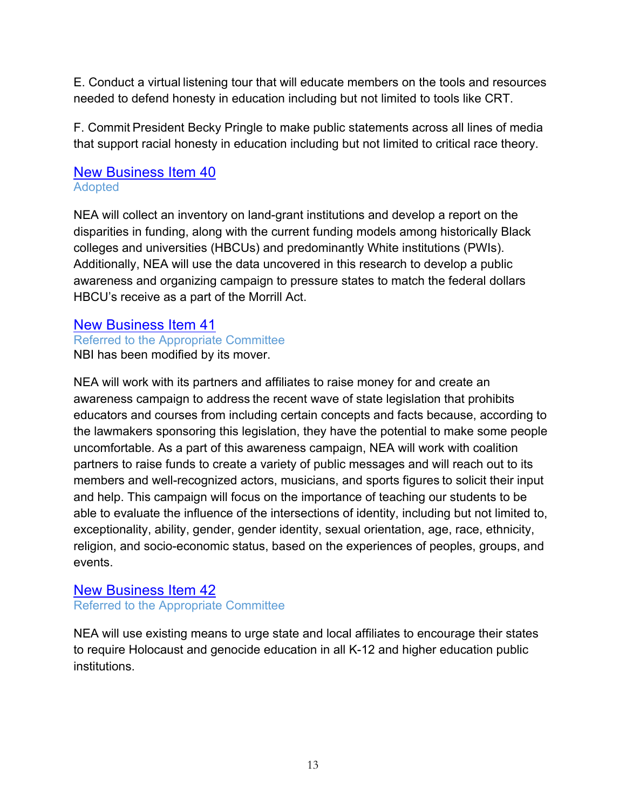E. Conduct a virtual listening tour that will educate members on the tools and resources needed to defend honesty in education including but not limited to tools like CRT.

F. Commit President Becky Pringle to make public statements across all lines of media that support racial honesty in education including but not limited to critical race theory.

# New Business Item 40 Adopted

NEA will collect an inventory on land-grant institutions and develop a report on the disparities in funding, along with the current funding models among historically Black colleges and universities (HBCUs) and predominantly White institutions (PWIs). Additionally, NEA will use the data uncovered in this research to develop a public awareness and organizing campaign to pressure states to match the federal dollars HBCU's receive as a part of the Morrill Act.

#### New Business Item 41 Referred to the Appropriate Committee NBI has been modified by its mover.

NEA will work with its partners and affiliates to raise money for and create an awareness campaign to address the recent wave of state legislation that prohibits educators and courses from including certain concepts and facts because, according to the lawmakers sponsoring this legislation, they have the potential to make some people uncomfortable. As a part of this awareness campaign, NEA will work with coalition partners to raise funds to create a variety of public messages and will reach out to its members and well-recognized actors, musicians, and sports figures to solicit their input and help. This campaign will focus on the importance of teaching our students to be able to evaluate the influence of the intersections of identity, including but not limited to, exceptionality, ability, gender, gender identity, sexual orientation, age, race, ethnicity, religion, and socio-economic status, based on the experiences of peoples, groups, and events.

# New Business Item 42

#### Referred to the Appropriate Committee

NEA will use existing means to urge state and local affiliates to encourage their states to require Holocaust and genocide education in all K-12 and higher education public institutions.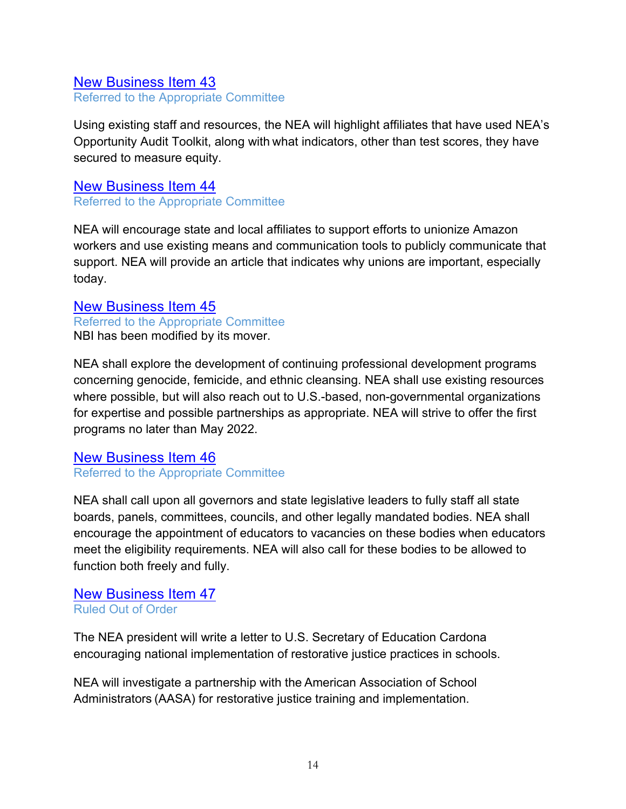# New Business Item 43 Referred to the Appropriate Committee

Using existing staff and resources, the NEA will highlight affiliates that have used NEA's Opportunity Audit Toolkit, along with what indicators, other than test scores, they have secured to measure equity.

New Business Item 44 Referred to the Appropriate Committee

NEA will encourage state and local affiliates to support efforts to unionize Amazon workers and use existing means and communication tools to publicly communicate that support. NEA will provide an article that indicates why unions are important, especially today.

New Business Item 45 Referred to the Appropriate Committee NBI has been modified by its mover.

NEA shall explore the development of continuing professional development programs concerning genocide, femicide, and ethnic cleansing. NEA shall use existing resources where possible, but will also reach out to U.S.-based, non-governmental organizations for expertise and possible partnerships as appropriate. NEA will strive to offer the first programs no later than May 2022.

New Business Item 46 Referred to the Appropriate Committee

NEA shall call upon all governors and state legislative leaders to fully staff all state boards, panels, committees, councils, and other legally mandated bodies. NEA shall encourage the appointment of educators to vacancies on these bodies when educators meet the eligibility requirements. NEA will also call for these bodies to be allowed to function both freely and fully.

#### New Business Item 47 Ruled Out of Order

The NEA president will write a letter to U.S. Secretary of Education Cardona encouraging national implementation of restorative justice practices in schools.

NEA will investigate a partnership with the American Association of School Administrators (AASA) for restorative justice training and implementation.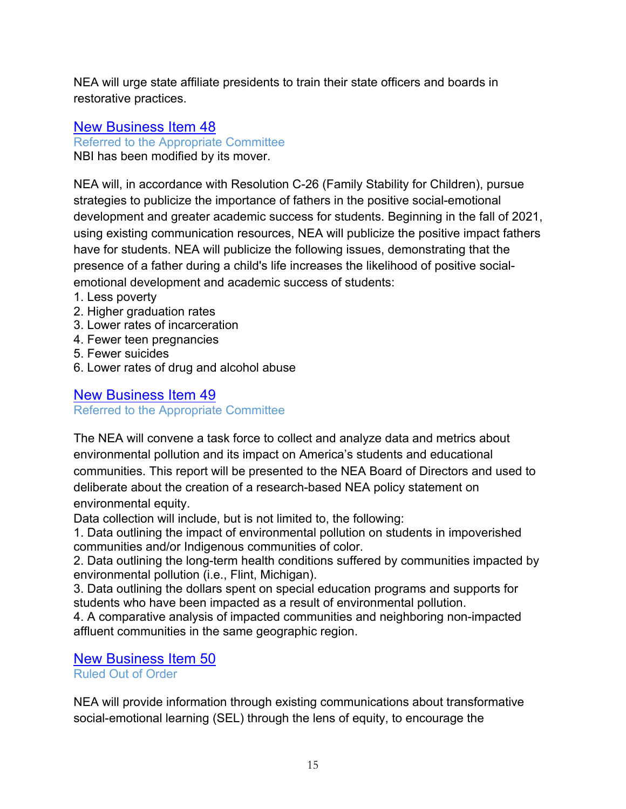NEA will urge state affiliate presidents to train their state officers and boards in restorative practices.

# New Business Item 48

Referred to the Appropriate Committee

NBI has been modified by its mover.

NEA will, in accordance with Resolution C-26 (Family Stability for Children), pursue strategies to publicize the importance of fathers in the positive social-emotional development and greater academic success for students. Beginning in the fall of 2021, using existing communication resources, NEA will publicize the positive impact fathers have for students. NEA will publicize the following issues, demonstrating that the presence of a father during a child's life increases the likelihood of positive socialemotional development and academic success of students:

- 1. Less poverty
- 2. Higher graduation rates
- 3. Lower rates of incarceration
- 4. Fewer teen pregnancies
- 5. Fewer suicides
- 6. Lower rates of drug and alcohol abuse

# New Business Item 49

Referred to the Appropriate Committee

The NEA will convene a task force to collect and analyze data and metrics about environmental pollution and its impact on America's students and educational communities. This report will be presented to the NEA Board of Directors and used to deliberate about the creation of a research-based NEA policy statement on environmental equity.

Data collection will include, but is not limited to, the following:

1. Data outlining the impact of environmental pollution on students in impoverished communities and/or Indigenous communities of color.

2. Data outlining the long-term health conditions suffered by communities impacted by environmental pollution (i.e., Flint, Michigan).

3. Data outlining the dollars spent on special education programs and supports for students who have been impacted as a result of environmental pollution.

4. A comparative analysis of impacted communities and neighboring non-impacted affluent communities in the same geographic region.

#### New Business Item 50 Ruled Out of Order

NEA will provide information through existing communications about transformative social-emotional learning (SEL) through the lens of equity, to encourage the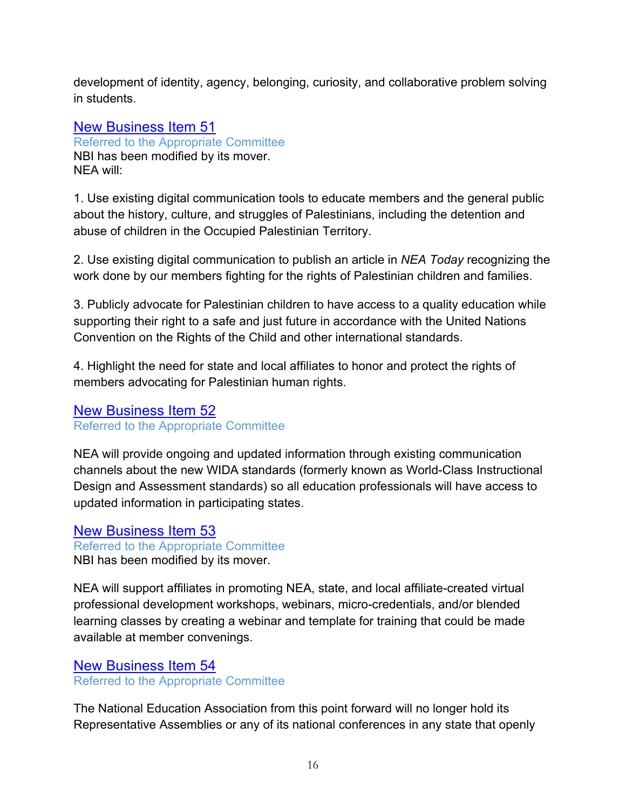development of identity, agency, belonging, curiosity, and collaborative problem solving in students.

#### New Business Item 51 Referred to the Appropriate Committee NBI has been modified by its mover. NEA will:

1. Use existing digital communication tools to educate members and the general public about the history, culture, and struggles of Palestinians, including the detention and abuse of children in the Occupied Palestinian Territory.

2. Use existing digital communication to publish an article in *NEA Today* recognizing the work done by our members fighting for the rights of Palestinian children and families.

3. Publicly advocate for Palestinian children to have access to a quality education while supporting their right to a safe and just future in accordance with the United Nations Convention on the Rights of the Child and other international standards.

4. Highlight the need for state and local affiliates to honor and protect the rights of members advocating for Palestinian human rights.

#### New Business Item 52 Referred to the Appropriate Committee

NEA will provide ongoing and updated information through existing communication channels about the new WIDA standards (formerly known as World-Class Instructional Design and Assessment standards) so all education professionals will have access to updated information in participating states.

# New Business Item 53

#### Referred to the Appropriate Committee

NBI has been modified by its mover.

NEA will support affiliates in promoting NEA, state, and local affiliate-created virtual professional development workshops, webinars, micro-credentials, and/or blended learning classes by creating a webinar and template for training that could be made available at member convenings.

# New Business Item 54

Referred to the Appropriate Committee

The National Education Association from this point forward will no longer hold its Representative Assemblies or any of its national conferences in any state that openly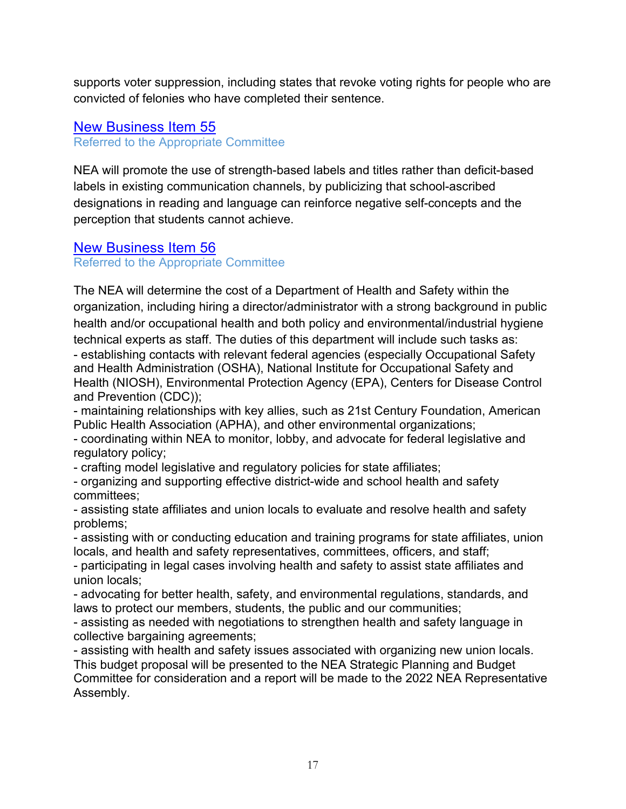supports voter suppression, including states that revoke voting rights for people who are convicted of felonies who have completed their sentence.

# New Business Item 55

Referred to the Appropriate Committee

NEA will promote the use of strength-based labels and titles rather than deficit-based labels in existing communication channels, by publicizing that school-ascribed designations in reading and language can reinforce negative self-concepts and the perception that students cannot achieve.

# New Business Item 56

Referred to the Appropriate Committee

The NEA will determine the cost of a Department of Health and Safety within the organization, including hiring a director/administrator with a strong background in public health and/or occupational health and both policy and environmental/industrial hygiene technical experts as staff. The duties of this department will include such tasks as: - establishing contacts with relevant federal agencies (especially Occupational Safety and Health Administration (OSHA), National Institute for Occupational Safety and Health (NIOSH), Environmental Protection Agency (EPA), Centers for Disease Control and Prevention (CDC));

- maintaining relationships with key allies, such as 21st Century Foundation, American Public Health Association (APHA), and other environmental organizations;

- coordinating within NEA to monitor, lobby, and advocate for federal legislative and regulatory policy;

- crafting model legislative and regulatory policies for state affiliates;

- organizing and supporting effective district-wide and school health and safety committees;

- assisting state affiliates and union locals to evaluate and resolve health and safety problems;

- assisting with or conducting education and training programs for state affiliates, union locals, and health and safety representatives, committees, officers, and staff;

- participating in legal cases involving health and safety to assist state affiliates and union locals;

- advocating for better health, safety, and environmental regulations, standards, and laws to protect our members, students, the public and our communities;

- assisting as needed with negotiations to strengthen health and safety language in collective bargaining agreements;

- assisting with health and safety issues associated with organizing new union locals. This budget proposal will be presented to the NEA Strategic Planning and Budget Committee for consideration and a report will be made to the 2022 NEA Representative Assembly.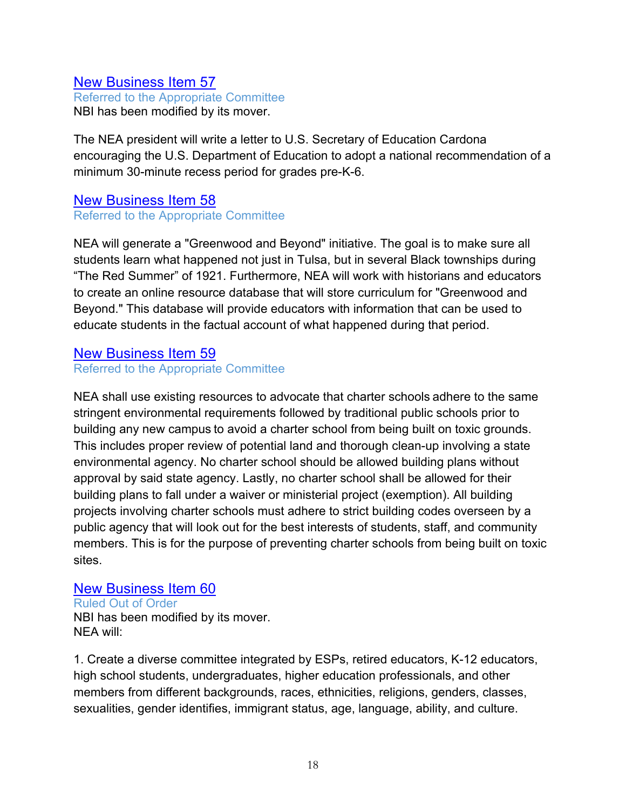#### New Business Item 57

Referred to the Appropriate Committee NBI has been modified by its mover.

The NEA president will write a letter to U.S. Secretary of Education Cardona encouraging the U.S. Department of Education to adopt a national recommendation of a minimum 30-minute recess period for grades pre-K-6.

#### New Business Item 58 Referred to the Appropriate Committee

NEA will generate a "Greenwood and Beyond" initiative. The goal is to make sure all students learn what happened not just in Tulsa, but in several Black townships during "The Red Summer" of 1921. Furthermore, NEA will work with historians and educators to create an online resource database that will store curriculum for "Greenwood and Beyond." This database will provide educators with information that can be used to educate students in the factual account of what happened during that period.

#### New Business Item 59

Referred to the Appropriate Committee

NEA shall use existing resources to advocate that charter schools adhere to the same stringent environmental requirements followed by traditional public schools prior to building any new campus to avoid a charter school from being built on toxic grounds. This includes proper review of potential land and thorough clean-up involving a state environmental agency. No charter school should be allowed building plans without approval by said state agency. Lastly, no charter school shall be allowed for their building plans to fall under a waiver or ministerial project (exemption). All building projects involving charter schools must adhere to strict building codes overseen by a public agency that will look out for the best interests of students, staff, and community members. This is for the purpose of preventing charter schools from being built on toxic sites.

#### New Business Item 60

Ruled Out of Order NBI has been modified by its mover. NEA will:

1. Create a diverse committee integrated by ESPs, retired educators, K-12 educators, high school students, undergraduates, higher education professionals, and other members from different backgrounds, races, ethnicities, religions, genders, classes, sexualities, gender identifies, immigrant status, age, language, ability, and culture.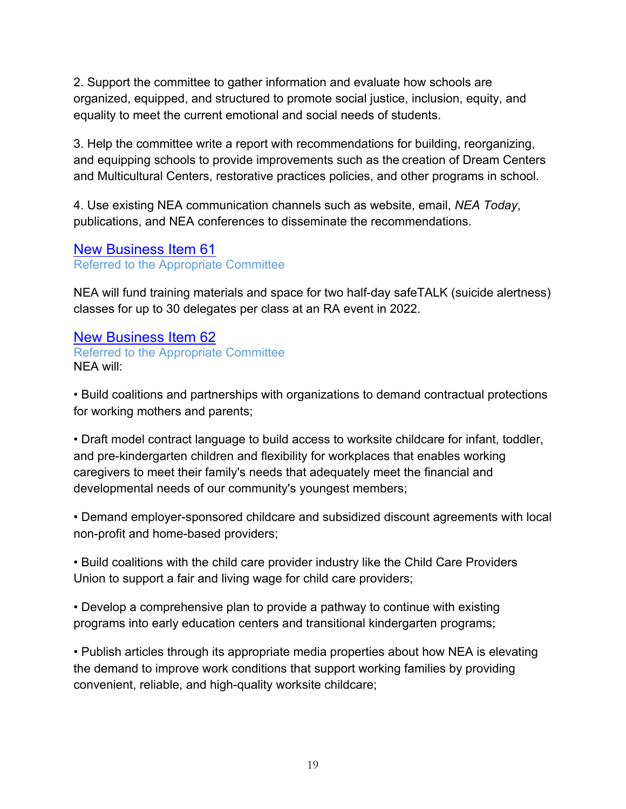2. Support the committee to gather information and evaluate how schools are organized, equipped, and structured to promote social justice, inclusion, equity, and equality to meet the current emotional and social needs of students.

3. Help the committee write a report with recommendations for building, reorganizing, and equipping schools to provide improvements such as the creation of Dream Centers and Multicultural Centers, restorative practices policies, and other programs in school.

4. Use existing NEA communication channels such as website, email, *NEA Today*, publications, and NEA conferences to disseminate the recommendations.

#### New Business Item 61 Referred to the Appropriate Committee

NEA will fund training materials and space for two half-day safeTALK (suicide alertness) classes for up to 30 delegates per class at an RA event in 2022.

# New Business Item 62

Referred to the Appropriate Committee NEA will:

• Build coalitions and partnerships with organizations to demand contractual protections for working mothers and parents;

• Draft model contract language to build access to worksite childcare for infant, toddler, and pre-kindergarten children and flexibility for workplaces that enables working caregivers to meet their family's needs that adequately meet the financial and developmental needs of our community's youngest members;

• Demand employer-sponsored childcare and subsidized discount agreements with local non-profit and home-based providers;

• Build coalitions with the child care provider industry like the Child Care Providers Union to support a fair and living wage for child care providers;

• Develop a comprehensive plan to provide a pathway to continue with existing programs into early education centers and transitional kindergarten programs;

• Publish articles through its appropriate media properties about how NEA is elevating the demand to improve work conditions that support working families by providing convenient, reliable, and high-quality worksite childcare;